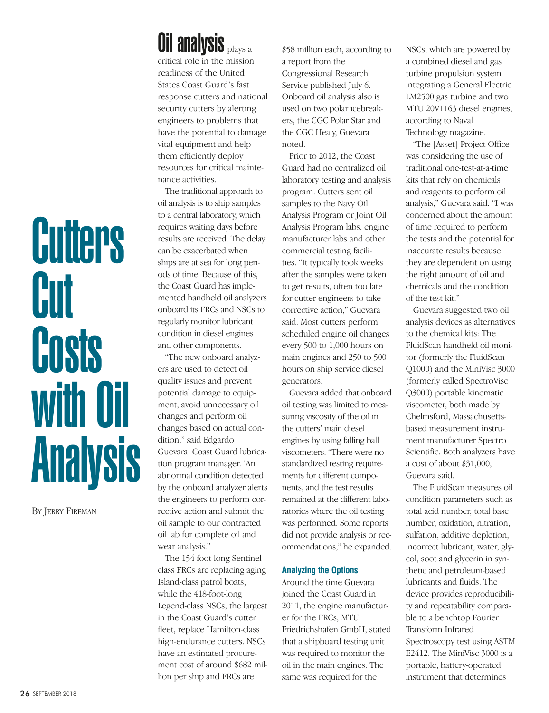## **Cutters Cut** Costs with Oil **Analysis**

BY JERRY FIREMAN

## **Oil analysis plays a**

critical role in the mission readiness of the United States Coast Guard's fast response cutters and national security cutters by alerting engineers to problems that have the potential to damage vital equipment and help them efficiently deploy resources for critical maintenance activities.

The traditional approach to oil analysis is to ship samples to a central laboratory, which requires waiting days before results are received. The delay can be exacerbated when ships are at sea for long periods of time. Because of this, the Coast Guard has implemented handheld oil analyzers onboard its FRCs and NSCs to regularly monitor lubricant condition in diesel engines and other components.

"The new onboard analyzers are used to detect oil quality issues and prevent potential damage to equipment, avoid unnecessary oil changes and perform oil changes based on actual condition," said Edgardo Guevara, Coast Guard lubrication program manager. "An abnormal condition detected by the onboard analyzer alerts the engineers to perform corrective action and submit the oil sample to our contracted oil lab for complete oil and wear analysis."

The 154-foot-long Sentinelclass FRCs are replacing aging Island-class patrol boats, while the 418-foot-long Legend-class NSCs, the largest in the Coast Guard's cutter fleet, replace Hamilton-class high-endurance cutters. NSCs have an estimated procurement cost of around \$682 million per ship and FRCs are

\$58 million each, according to a report from the Congressional Research Service published July 6. Onboard oil analysis also is used on two polar icebreakers, the CGC Polar Star and the CGC Healy, Guevara noted.

Prior to 2012, the Coast Guard had no centralized oil laboratory testing and analysis program. Cutters sent oil samples to the Navy Oil Analysis Program or Joint Oil Analysis Program labs, engine manufacturer labs and other commercial testing facilities. "It typically took weeks after the samples were taken to get results, often too late for cutter engineers to take corrective action," Guevara said. Most cutters perform scheduled engine oil changes every 500 to 1,000 hours on main engines and 250 to 500 hours on ship service diesel generators.

Guevara added that onboard oil testing was limited to measuring viscosity of the oil in the cutters' main diesel engines by using falling ball viscometers. "There were no standardized testing requirements for different components, and the test results remained at the different laboratories where the oil testing was performed. Some reports did not provide analysis or recommendations," he expanded.

## **Analyzing the Options**

Around the time Guevara joined the Coast Guard in 2011, the engine manufacturer for the FRCs, MTU Friedrichshafen GmbH, stated that a shipboard testing unit was required to monitor the oil in the main engines. The same was required for the

NSCs, which are powered by a combined diesel and gas turbine propulsion system integrating a General Electric LM2500 gas turbine and two MTU 20V1163 diesel engines, according to Naval Technology magazine.

"The [Asset] Project Office was considering the use of traditional one-test-at-a-time kits that rely on chemicals and reagents to perform oil analysis," Guevara said. "I was concerned about the amount of time required to perform the tests and the potential for inaccurate results because they are dependent on using the right amount of oil and chemicals and the condition of the test kit."

Guevara suggested two oil analysis devices as alternatives to the chemical kits: The FluidScan handheld oil monitor (formerly the FluidScan Q1000) and the MiniVisc 3000 (formerly called SpectroVisc Q3000) portable kinematic viscometer, both made by Chelmsford, Massachusettsbased measurement instrument manufacturer Spectro Scientific. Both analyzers have a cost of about \$31,000, Guevara said.

The FluidScan measures oil condition parameters such as total acid number, total base number, oxidation, nitration, sulfation, additive depletion, incorrect lubricant, water, glycol, soot and glycerin in synthetic and petroleum-based lubricants and fluids. The device provides reproducibility and repeatability comparable to a benchtop Fourier Transform Infrared Spectroscopy test using ASTM E2412. The MiniVisc 3000 is a portable, battery-operated instrument that determines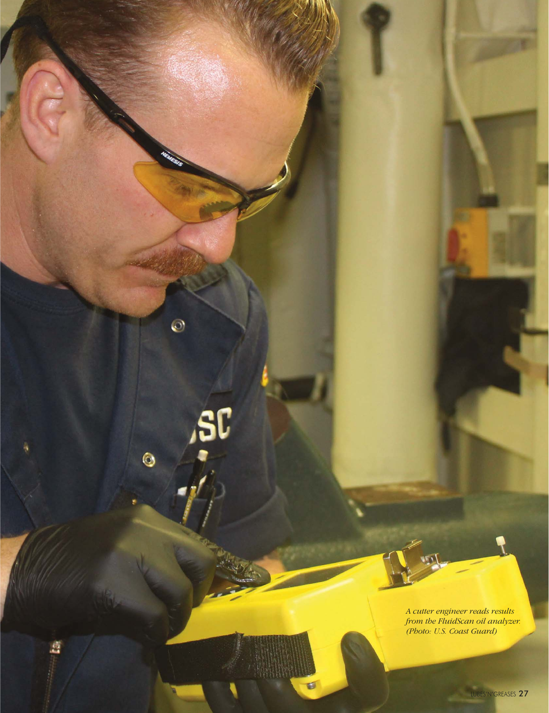*A cutter engineer reads results from the FluidScan oil analyzer. (Photo: U.S. Coast Guard)*

 $\odot$ 

 $\bullet$ 

盘

**SC** 

U